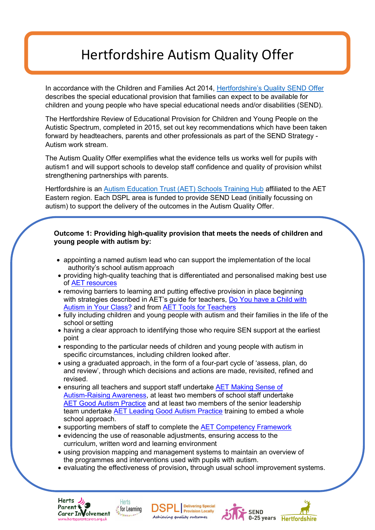# Hertfordshire Autism Quality Offer

In accordance with the Children and Families Act 2014, [Hertfordshire's Quality SEND Offer](https://www.hertfordshire.gov.uk/microsites/local-offer/media-library/documents/policies-and-procedures/quality-send-offer-expectations.pdf) describes the special educational provision that families can expect to be available for children and young people who have special educational needs and/or disabilities (SEND).

The Hertfordshire Review of Educational Provision for Children and Young People on the Autistic Spectrum, completed in 2015, set out key recommendations which have been taken forward by headteachers, parents and other professionals as part of the SEND Strategy - Autism work stream.

The Autism Quality Offer exemplifies what the evidence tells us works well for pupils with autism1 and will support schools to develop staff confidence and quality of provision whilst strengthening partnerships with parents.

Hertfordshire is an [Autism Education Trust \(AET\) Schools Training Hub](http://www.aettraininghubs.org.uk/) affiliated to the AET Eastern region. Each DSPL area is funded to provide SEND Lead (initially focussing on autism) to support the delivery of the outcomes in the Autism Quality Offer.

# **Outcome 1: Providing high-quality provision that meets the needs of children and young people with autism by:**

- appointing a named autism lead who can support the implementation of the local authority's school autism approach
- providing high-quality teaching that is differentiated and personalised making best use of **AET** [resources](https://www.autismeducationtrust.org.uk/product-category/resources/)
- removing barriers to learning and putting effective provision in place beginning with strategies described in AET's guide for teachers, Do You have a Child with [Autism in Your Class?](http://www.autismeducationtrust.org.uk/resources/teachers%20guide.aspx) and from [AET Tools for](https://www.autismeducationtrust.org.uk/shop/i-t4t/) Teachers
- fully including children and young people with autism and their families in the life of the school or setting
- having a clear approach to identifying those who require SEN support at the earliest point
- responding to the particular needs of children and young people with autism in specific circumstances, including children looked after.
- using a graduated approach, in the form of a four-part cycle of 'assess, plan, do and review', through which decisions and actions are made, revisited, refined and revised.
- ensuring all teachers and support staff undertake **AET Making Sense of** [Autism-](mailto:Training-AET@hertfordshire.gov.uk)Raising Awar[e](mailto:Training-AET@hertfordshire.gov.uk)ness, at least two members of school staff undertake [AET Good Autism Practice](mailto:Training-AET@hertfordshire.gov.uk) and at least two members of the senior leadership team undertake [AET Leading Good Autism Practice](mailto:Training-AET@hertfordshire.gov.uk) training to embed a whole school approach.
- supporting members of staff to complete the [AET Competency](https://www.autismeducationtrust.org.uk/shop/schools-cf-shop/) Framework
- evidencing the use of reasonable adjustments, ensuring access to the curriculum, written word and learning environment
- using provision mapping and management systems to maintain an overview of the programmes and interventions used with pupils with autism.

Achieving quality outcomes

• evaluating the effectiveness of provision**,** through usual school improvement systems.

**Delivering Special** 

**Provision Locally** 

**SEND** 

0-25 years Hertfordshire



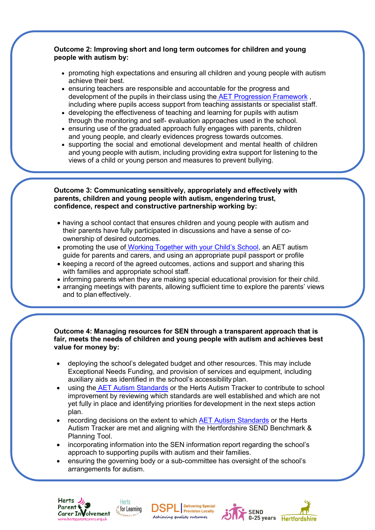# **Outcome 2: Improving short and long term outcomes for children and young people with autism by:**

- promoting high expectations and ensuring all children and young people with autism achieve their best.
- ensuring teachers are responsible and accountable for the progress and development of the pupils in theirclass using the [AET Progression Framework](https://www.autismeducationtrust.org.uk/shop/pf-shop/) , including where pupils access support from teaching assistants or specialist staff.
- developing the effectiveness of teaching and learning for pupils with autism through the monitoring and self- evaluation approaches used in the school.
- ensuring use of the graduated approach fully engages with parents, children and young people, and clearly evidences progress towards outcomes.
- supporting the social and emotional development and mental health of children and young people with autism, including providing extra support for listening to the views of a child or young person and measures to prevent bullying.

### **Outcome 3: Communicating sensitively, appropriately and effectively with parents, children and young people with autism, engendering trust, confidence, respect and constructive partnership working by:**

- having a school contact that ensures children and young people with autism and their parents have fully participated in discussions and have a sense of coownership of desired outcomes.
- promoting the use of [Working Together with your Child's School, a](http://www.aettraininghubs.org.uk/parent-guide/)n AET autism guide for parents and carers, and using an appropriate pupil passport or profile
- keeping a record of the agreed outcomes, actions and support and sharing this with families and appropriate school staff.
- informing parents when they are making special educational provision for their child.
- arranging meetings with parents, allowing sufficient time to explore the parents' views and to plan effectively.

# **Outcome 4: Managing resources for SEN through a transparent approach that is fair, meets the needs of children and young people with autism and achieves best value for money by:**

- deploying the school's delegated budget and other resources. This may include Exceptional Needs Funding, and provision of services and equipment, including auxiliary aids as identified in the school's accessibility plan.
- using the [AET Autism Standards](https://www.autismeducationtrust.org.uk/shop/schools-standards-shop/) or the Herts Autism Tracker to contribute to school improvement by reviewing which standards are well established and which are not yet fully in place and identifying priorities fordevelopment in the next steps action plan.
- recording decisions on the extent to which **AET Autism Standards** or the Herts Autism Tracker are met and aligning with the Hertfordshire SEND Benchmark & Planning Tool.
- incorporating information into the SEN information report regarding the school's approach to supporting pupils with autism and their families.
- ensuring the governing body or a sub-committee has oversight of the school's arrangements for autism.





Delivering Special<br>Provision Locally Achieving quality outcomes

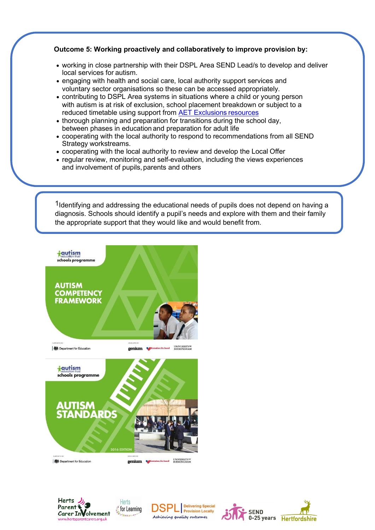# **Outcome 5: Working proactively and collaboratively to improve provision by:**

- working in close partnership with their DSPL Area SEND Lead/s to develop and deliver local services for autism.
- engaging with health and social care, local authority support services and voluntary sector organisations so these can be accessed appropriately.
- contributing to DSPL Area systems in situations where a child or young person with autism is at risk of exclusion, school placement breakdown or subject to a reduced timetable using support from [AET Exclusions](https://www.autismeducationtrust.org.uk/shop/exclusions-resources/) resources
- thorough planning and preparation for transitions during the school day, between phases in education and preparation for adult life
- cooperating with the local authority to respond to recommendations from all SEND Strategy workstreams.
- cooperating with the local authority to review and develop the Local Offer
- regular review, monitoring and self-evaluation, including the views experiences and involvement of pupils, parents and others

<sup>1</sup>Identifying and addressing the educational needs of pupils does not depend on having a diagnosis. Schools should identify a pupil's needs and explore with them and their family the appropriate support that they would like and would benefit from.









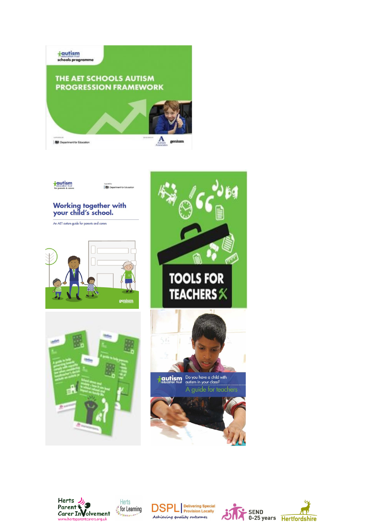